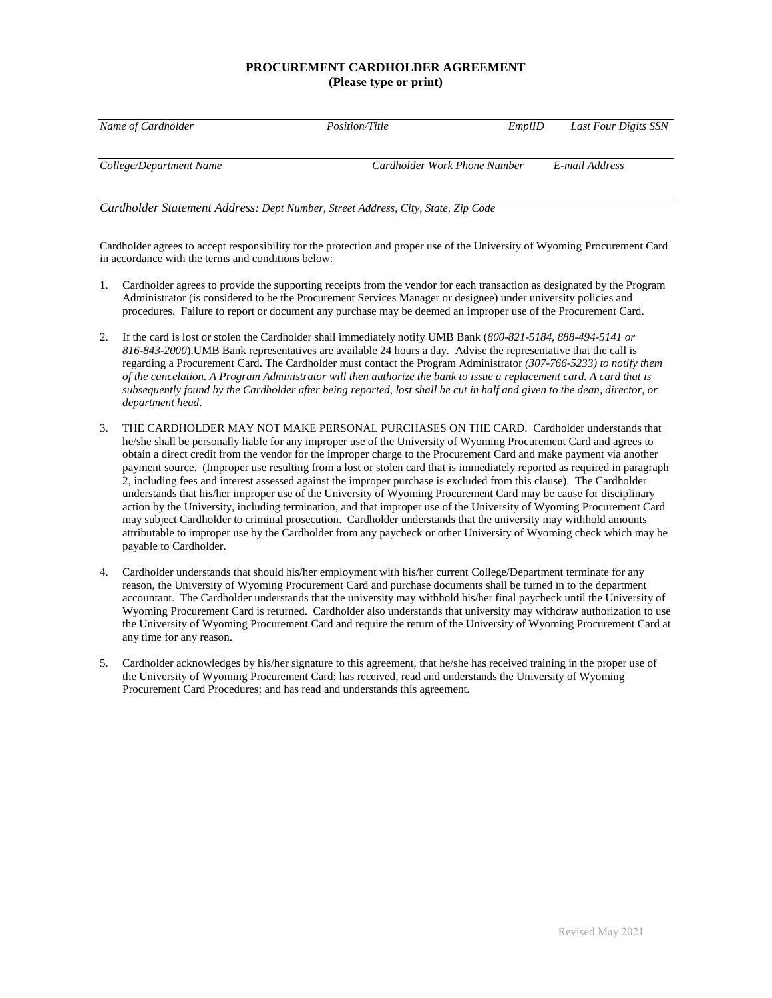### **PROCUREMENT CARDHOLDER AGREEMENT (Please type or print)**

| Name of Cardholder      | <i>Position/Title</i>        | EmplID | Last Four Digits SSN |
|-------------------------|------------------------------|--------|----------------------|
|                         |                              |        |                      |
| College/Department Name | Cardholder Work Phone Number |        | E-mail Address       |

*Cardholder Statement Address: Dept Number, Street Address, City, State, Zip Code*

Cardholder agrees to accept responsibility for the protection and proper use of the University of Wyoming Procurement Card in accordance with the terms and conditions below:

- 1. Cardholder agrees to provide the supporting receipts from the vendor for each transaction as designated by the Program Administrator (is considered to be the Procurement Services Manager or designee) under university policies and procedures. Failure to report or document any purchase may be deemed an improper use of the Procurement Card.
- 2. If the card is lost or stolen the Cardholder shall immediately notify UMB Bank (*800-821-5184, 888-494-5141 or 816-843-2000*).UMB Bank representatives are available 24 hours a day. Advise the representative that the call is regarding a Procurement Card. The Cardholder must contact the Program Administrator *(307-766-5233) to notify them of the cancelation. A Program Administrator will then authorize the bank to issue a replacement card. A card that is subsequently found by the Cardholder after being reported, lost shall be cut in half and given to the dean, director, or department head*.
- 3. THE CARDHOLDER MAY NOT MAKE PERSONAL PURCHASES ON THE CARD. Cardholder understands that he/she shall be personally liable for any improper use of the University of Wyoming Procurement Card and agrees to obtain a direct credit from the vendor for the improper charge to the Procurement Card and make payment via another payment source. (Improper use resulting from a lost or stolen card that is immediately reported as required in paragraph 2, including fees and interest assessed against the improper purchase is excluded from this clause). The Cardholder understands that his/her improper use of the University of Wyoming Procurement Card may be cause for disciplinary action by the University, including termination, and that improper use of the University of Wyoming Procurement Card may subject Cardholder to criminal prosecution. Cardholder understands that the university may withhold amounts attributable to improper use by the Cardholder from any paycheck or other University of Wyoming check which may be payable to Cardholder.
- 4. Cardholder understands that should his/her employment with his/her current College/Department terminate for any reason, the University of Wyoming Procurement Card and purchase documents shall be turned in to the department accountant. The Cardholder understands that the university may withhold his/her final paycheck until the University of Wyoming Procurement Card is returned. Cardholder also understands that university may withdraw authorization to use the University of Wyoming Procurement Card and require the return of the University of Wyoming Procurement Card at any time for any reason.
- 5. Cardholder acknowledges by his/her signature to this agreement, that he/she has received training in the proper use of the University of Wyoming Procurement Card; has received, read and understands the University of Wyoming Procurement Card Procedures; and has read and understands this agreement.